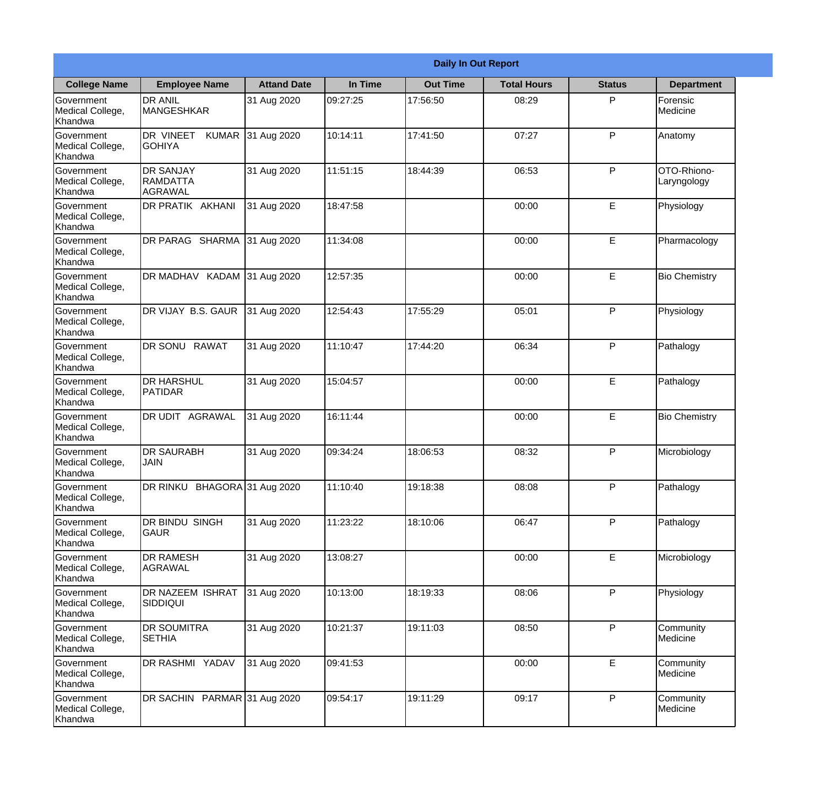|                                                  |                                                |                    |          | <b>Daily In Out Report</b> |                    |               |                            |
|--------------------------------------------------|------------------------------------------------|--------------------|----------|----------------------------|--------------------|---------------|----------------------------|
| <b>College Name</b>                              | <b>Employee Name</b>                           | <b>Attand Date</b> | In Time  | <b>Out Time</b>            | <b>Total Hours</b> | <b>Status</b> | <b>Department</b>          |
| Government<br>Medical College,<br>Khandwa        | <b>DR ANIL</b><br><b>MANGESHKAR</b>            | 31 Aug 2020        | 09:27:25 | 17:56:50                   | 08:29              | P             | Forensic<br>Medicine       |
| Government<br>Medical College,<br>Khandwa        | DR VINEET<br><b>I</b> GOHIYA                   | KUMAR 31 Aug 2020  | 10:14:11 | 17:41:50                   | 07:27              | P             | Anatomy                    |
| <b>Government</b><br>Medical College,<br>Khandwa | <b>DR SANJAY</b><br><b>RAMDATTA</b><br>AGRAWAL | 31 Aug 2020        | 11:51:15 | 18:44:39                   | 06:53              | P             | OTO-Rhiono-<br>Laryngology |
| <b>Government</b><br>Medical College,<br>Khandwa | DR PRATIK AKHANI                               | 31 Aug 2020        | 18:47:58 |                            | 00:00              | E             | Physiology                 |
| Government<br>Medical College,<br>Khandwa        | DR PARAG SHARMA                                | 31 Aug 2020        | 11:34:08 |                            | 00:00              | E             | Pharmacology               |
| Government<br>Medical College,<br>Khandwa        | DR MADHAV KADAM 31 Aug 2020                    |                    | 12:57:35 |                            | 00:00              | $\mathsf E$   | <b>Bio Chemistry</b>       |
| <b>Government</b><br>Medical College,<br>Khandwa | DR VIJAY B.S. GAUR                             | 31 Aug 2020        | 12:54:43 | 17:55:29                   | 05:01              | P             | Physiology                 |
| <b>Government</b><br>Medical College,<br>Khandwa | DR SONU RAWAT                                  | 31 Aug 2020        | 11:10:47 | 17:44:20                   | 06:34              | P             | Pathalogy                  |
| Government<br>Medical College,<br>Khandwa        | <b>DR HARSHUL</b><br><b>PATIDAR</b>            | 31 Aug 2020        | 15:04:57 |                            | 00:00              | E             | Pathalogy                  |
| Government<br>Medical College,<br>Khandwa        | DR UDIT AGRAWAL                                | 31 Aug 2020        | 16:11:44 |                            | 00:00              | $\mathsf E$   | <b>Bio Chemistry</b>       |
| Government<br>Medical College,<br>Khandwa        | IDR SAURABH<br><b>JAIN</b>                     | 31 Aug 2020        | 09:34:24 | 18:06:53                   | 08:32              | P             | Microbiology               |
| Government<br>Medical College,<br>Khandwa        | DR RINKU BHAGORA 31 Aug 2020                   |                    | 11:10:40 | 19:18:38                   | 08:08              | P             | Pathalogy                  |
| Government<br>Medical College,<br>Khandwa        | <b>DR BINDU SINGH</b><br><b>GAUR</b>           | 31 Aug 2020        | 11:23:22 | 18:10:06                   | 06:47              | P             | Pathalogy                  |
| Government<br>Medical College,<br>Khandwa        | <b>DR RAMESH</b><br>AGRAWAL                    | 31 Aug 2020        | 13:08:27 |                            | 00:00              | $\mathsf E$   | Microbiology               |
| <b>Government</b><br>Medical College,<br>Khandwa | <b>DR NAZEEM ISHRAT</b><br> SIDDIQUI           | 31 Aug 2020        | 10:13:00 | 18:19:33                   | 08:06              | $\mathsf{P}$  | Physiology                 |
| Government<br>Medical College,<br>Khandwa        | <b>DR SOUMITRA</b><br><b>SETHIA</b>            | 31 Aug 2020        | 10:21:37 | 19:11:03                   | 08:50              | P             | Community<br>Medicine      |
| Government<br>Medical College,<br>Khandwa        | DR RASHMI YADAV                                | 31 Aug 2020        | 09:41:53 |                            | 00:00              | E             | Community<br>Medicine      |
| Government<br>Medical College,<br>Khandwa        | DR SACHIN PARMAR 31 Aug 2020                   |                    | 09:54:17 | 19:11:29                   | 09:17              | P             | Community<br>Medicine      |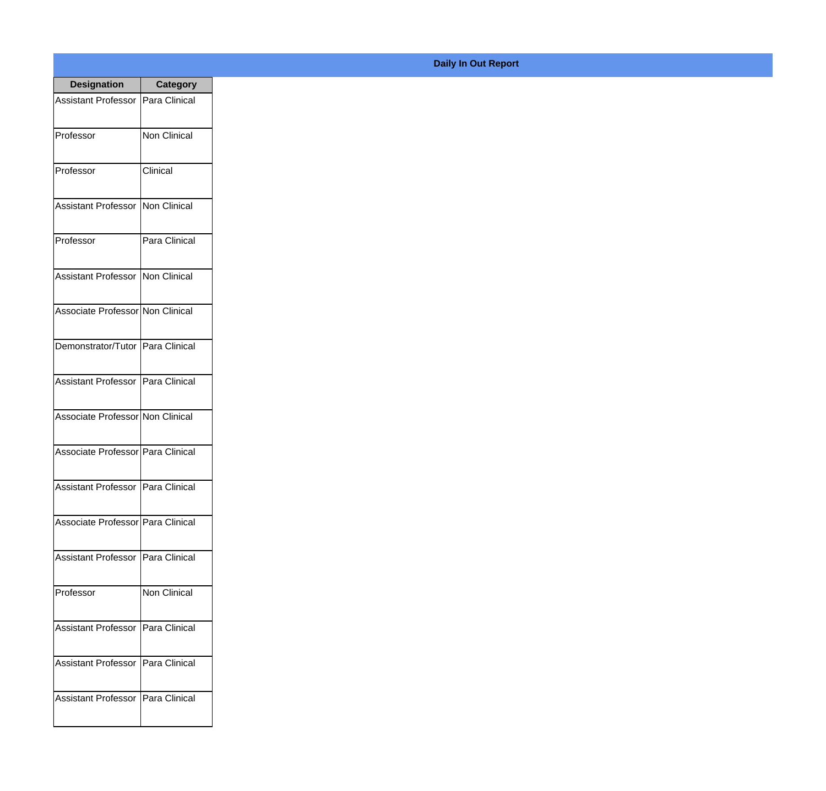| <b>Designation</b>                  | <b>Category</b>     |
|-------------------------------------|---------------------|
| <b>Assistant Professor</b>          | Para Clinical       |
| Professor                           | <b>Non Clinical</b> |
| Professor                           | Clinical            |
| <b>Assistant Professor</b>          | Non Clinical        |
| Professor                           | Para Clinical       |
| <b>Assistant Professor</b>          | Non Clinical        |
| Associate Professor Non Clinical    |                     |
| Demonstrator/Tutor   Para Clinical  |                     |
| Assistant Professor   Para Clinical |                     |
| Associate Professor Non Clinical    |                     |
| Associate Professor Para Clinical   |                     |
| Assistant Professor                 | Para Clinical       |
| Associate Professor   Para Clinical |                     |
| Assistant Professor                 | Para Clinical       |
| Professor                           | <b>Non Clinical</b> |
| <b>Assistant Professor</b>          | Para Clinical       |
| <b>Assistant Professor</b>          | Para Clinical       |
| <b>Assistant Professor</b>          | Para Clinical       |

## **Daily In Out Report**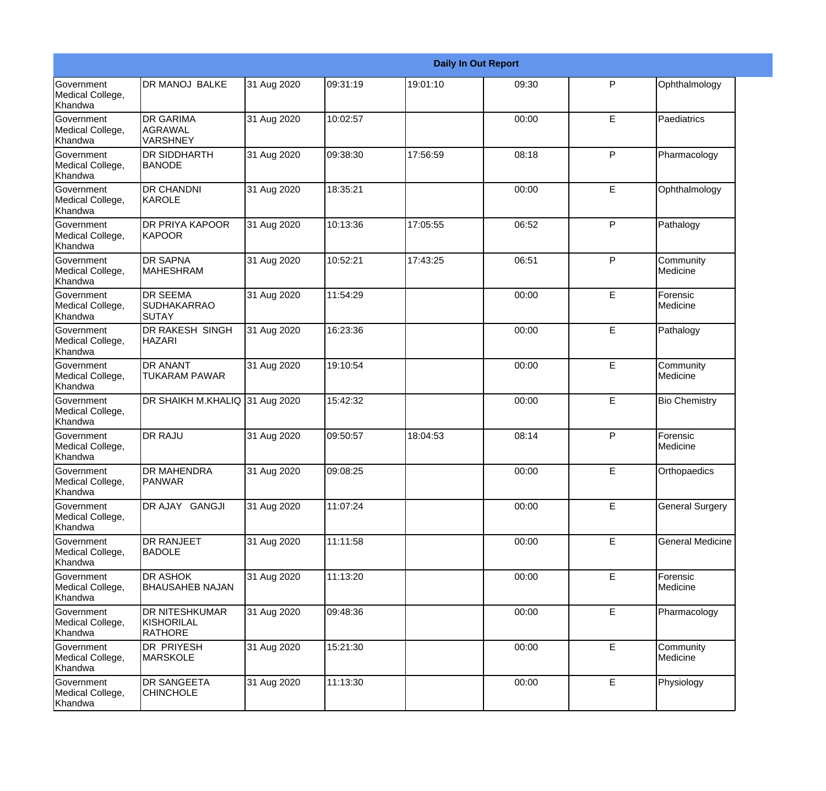|                                           |                                                       |             |          |          | <b>Daily In Out Report</b> |   |                         |
|-------------------------------------------|-------------------------------------------------------|-------------|----------|----------|----------------------------|---|-------------------------|
| Government<br>Medical College,<br>Khandwa | <b>DR MANOJ BALKE</b>                                 | 31 Aug 2020 | 09:31:19 | 19:01:10 | 09:30                      | P | Ophthalmology           |
| Government<br>Medical College,<br>Khandwa | <b>DR GARIMA</b><br>AGRAWAL<br><b>VARSHNEY</b>        | 31 Aug 2020 | 10:02:57 |          | 00:00                      | E | Paediatrics             |
| Government<br>Medical College,<br>Khandwa | <b>DR SIDDHARTH</b><br><b>BANODE</b>                  | 31 Aug 2020 | 09:38:30 | 17:56:59 | 08:18                      | P | Pharmacology            |
| Government<br>Medical College,<br>Khandwa | <b>DR CHANDNI</b><br>KAROLE                           | 31 Aug 2020 | 18:35:21 |          | 00:00                      | E | Ophthalmology           |
| Government<br>Medical College,<br>Khandwa | <b>DR PRIYA KAPOOR</b><br><b>KAPOOR</b>               | 31 Aug 2020 | 10:13:36 | 17:05:55 | 06:52                      | P | Pathalogy               |
| Government<br>Medical College,<br>Khandwa | <b>DR SAPNA</b><br><b>MAHESHRAM</b>                   | 31 Aug 2020 | 10:52:21 | 17:43:25 | 06:51                      | P | Community<br>Medicine   |
| Government<br>Medical College,<br>Khandwa | <b>DR SEEMA</b><br><b>SUDHAKARRAO</b><br>SUTAY        | 31 Aug 2020 | 11:54:29 |          | 00:00                      | E | Forensic<br>Medicine    |
| Government<br>Medical College,<br>Khandwa | DR RAKESH SINGH<br><b>HAZARI</b>                      | 31 Aug 2020 | 16:23:36 |          | 00:00                      | E | Pathalogy               |
| Government<br>Medical College,<br>Khandwa | <b>DR ANANT</b><br><b>TUKARAM PAWAR</b>               | 31 Aug 2020 | 19:10:54 |          | 00:00                      | E | Community<br>Medicine   |
| Government<br>Medical College,<br>Khandwa | DR SHAIKH M.KHALIQ 31 Aug 2020                        |             | 15:42:32 |          | 00:00                      | E | <b>Bio Chemistry</b>    |
| Government<br>Medical College,<br>Khandwa | <b>DR RAJU</b>                                        | 31 Aug 2020 | 09:50:57 | 18:04:53 | 08:14                      | P | Forensic<br>Medicine    |
| Government<br>Medical College,<br>Khandwa | <b>DR MAHENDRA</b><br><b>PANWAR</b>                   | 31 Aug 2020 | 09:08:25 |          | 00:00                      | E | Orthopaedics            |
| Government<br>Medical College,<br>Khandwa | DR AJAY GANGJI                                        | 31 Aug 2020 | 11:07:24 |          | 00:00                      | E | <b>General Surgery</b>  |
| Government<br>Medical College,<br>Khandwa | <b>DR RANJEET</b><br><b>BADOLE</b>                    | 31 Aug 2020 | 11:11:58 |          | 00:00                      | E | <b>General Medicine</b> |
| Government<br>Medical College,<br>Khandwa | <b>DR ASHOK</b><br><b>BHAUSAHEB NAJAN</b>             | 31 Aug 2020 | 11:13:20 |          | 00:00                      | E | Forensic<br>Medicine    |
| Government<br>Medical College,<br>Khandwa | <b>DR NITESHKUMAR</b><br>KISHORILAL<br><b>RATHORE</b> | 31 Aug 2020 | 09:48:36 |          | 00:00                      | E | Pharmacology            |
| Government<br>Medical College,<br>Khandwa | DR PRIYESH<br><b>MARSKOLE</b>                         | 31 Aug 2020 | 15:21:30 |          | 00:00                      | E | Community<br>Medicine   |
| Government<br>Medical College,<br>Khandwa | <b>DR SANGEETA</b><br><b>CHINCHOLE</b>                | 31 Aug 2020 | 11:13:30 |          | 00:00                      | E | Physiology              |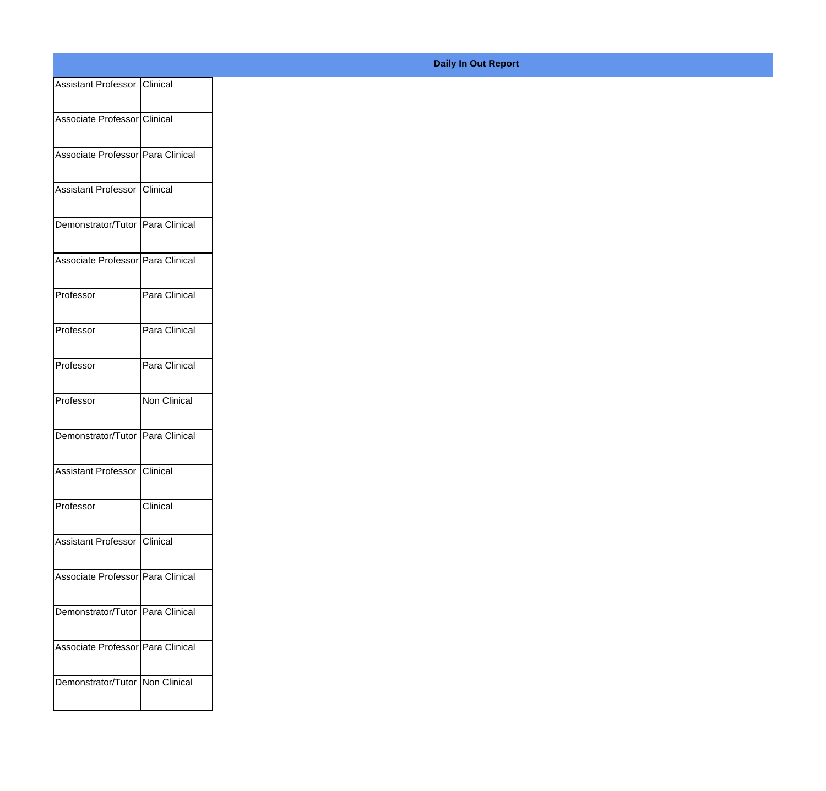| Assistant Professor Clinical      |               |
|-----------------------------------|---------------|
|                                   |               |
| Associate Professor Clinical      |               |
| Associate Professor Para Clinical |               |
| Assistant Professor Clinical      |               |
|                                   |               |
| Demonstrator/Tutor Para Clinical  |               |
| Associate Professor Para Clinical |               |
|                                   |               |
| Professor                         | Para Clinical |
| Professor                         | Para Clinical |
|                                   |               |
| Professor                         | Para Clinical |
| Professor                         | Non Clinical  |
| Demonstrator/Tutor Para Clinical  |               |
|                                   |               |
| Assistant Professor Clinical      |               |
| Professor                         | Clinical      |
|                                   |               |
| Assistant Professor Clinical      |               |
| Associate Professor Para Clinical |               |
| Demonstrator/Tutor Para Clinical  |               |
|                                   |               |
| Associate Professor Para Clinical |               |
| Demonstrator/Tutor   Non Clinical |               |
|                                   |               |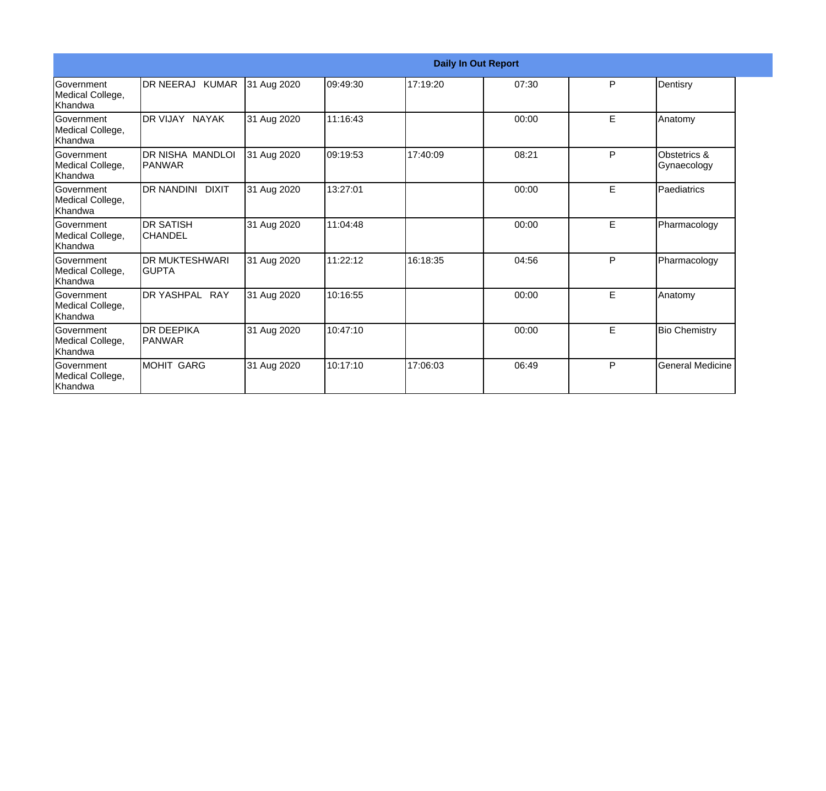|                                                   |                                          |             |          | <b>Daily In Out Report</b> |       |   |                             |
|---------------------------------------------------|------------------------------------------|-------------|----------|----------------------------|-------|---|-----------------------------|
| <b>Government</b><br>Medical College,<br>Khandwa  | DR NEERAJ KUMAR                          | 31 Aug 2020 | 09:49:30 | 17:19:20                   | 07:30 | P | Dentisry                    |
| <b>Government</b><br>Medical College,<br>Khandwa  | DR VIJAY NAYAK                           | 31 Aug 2020 | 11:16:43 |                            | 00:00 | E | Anatomy                     |
| Government<br>Medical College,<br>Khandwa         | <b>DR NISHA MANDLOI</b><br><b>PANWAR</b> | 31 Aug 2020 | 09:19:53 | 17:40:09                   | 08:21 | P | Obstetrics &<br>Gynaecology |
| Government<br>Medical College,<br>Khandwa         | <b>DR NANDINI</b><br><b>DIXIT</b>        | 31 Aug 2020 | 13:27:01 |                            | 00:00 | E | Paediatrics                 |
| <b>Sovernment</b><br>Medical College,<br>Khandwa  | <b>DR SATISH</b><br><b>CHANDEL</b>       | 31 Aug 2020 | 11:04:48 |                            | 00:00 | E | Pharmacology                |
| Government<br>Medical College,<br>Khandwa         | <b>DR MUKTESHWARI</b><br><b>GUPTA</b>    | 31 Aug 2020 | 11:22:12 | 16:18:35                   | 04:56 | P | Pharmacology                |
| <b>IGovernment</b><br>Medical College,<br>Khandwa | DR YASHPAL RAY                           | 31 Aug 2020 | 10:16:55 |                            | 00:00 | E | Anatomy                     |
| Government<br>Medical College,<br>Khandwa         | <b>DR DEEPIKA</b><br><b>PANWAR</b>       | 31 Aug 2020 | 10:47:10 |                            | 00:00 | E | <b>Bio Chemistry</b>        |
| Government<br>Medical College,<br>Khandwa         | <b>MOHIT GARG</b>                        | 31 Aug 2020 | 10:17:10 | 17:06:03                   | 06:49 | P | <b>General Medicine</b>     |